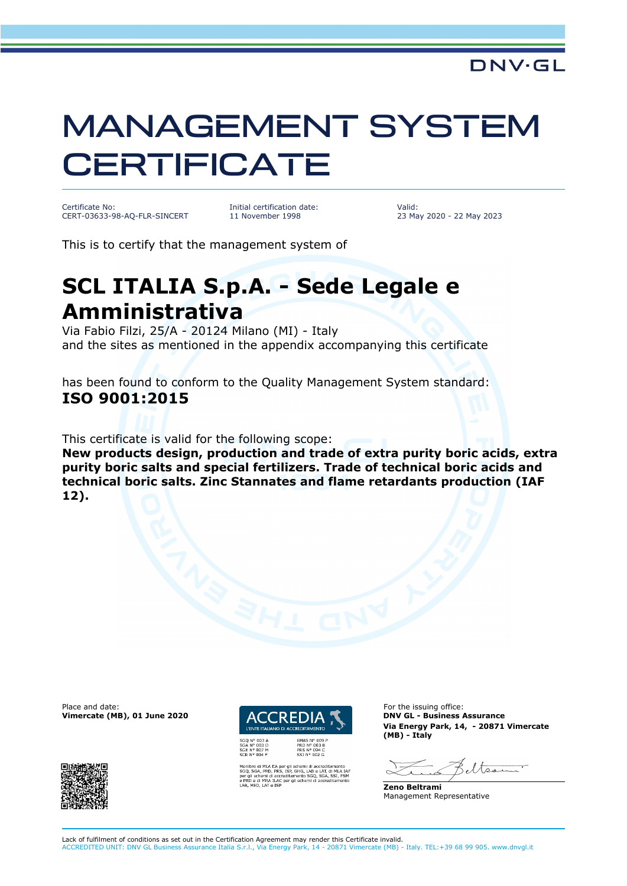## MANAGEMENT SYSTEM **CERTIFICATE**

Certificate No: CERT-03633-98-AQ-FLR-SINCERT Initial certification date: 11 November 1998

Valid: 23 May 2020 - 22 May 2023

This is to certify that the management system of

## **SCL ITALIA S.p.A. - Sede Legale e Amministrativa**

Via Fabio Filzi, 25/A - 20124 Milano (MI) - Italy and the sites as mentioned in the appendix accompanying this certificate

has been found to conform to the Quality Management System standard: **ISO 9001:2015**

This certificate is valid for the following scope:

**New products design, production and trade of extra purity boric acids, extra purity boric salts and special fertilizers. Trade of technical boric acids and technical boric salts. Zinc Stannates and flame retardants production (IAF 12).**

Place and date: **For the issuing office:** For the issuing office: **Vimercate (MB), 01 June 2020 DATE ACCREDIA TELEVISION CL - Business Assurance** 





ichemi di accreditamento<br>GHG, LAB e LAT, di MLA<br>nento SGQ, SGA, SSI, FS<br>i schemi di accreditamer

**Via Energy Park, 14, - 20871 Vimercate (MB) - Italy**

eltser

**Zeno Beltrami** Management Representative